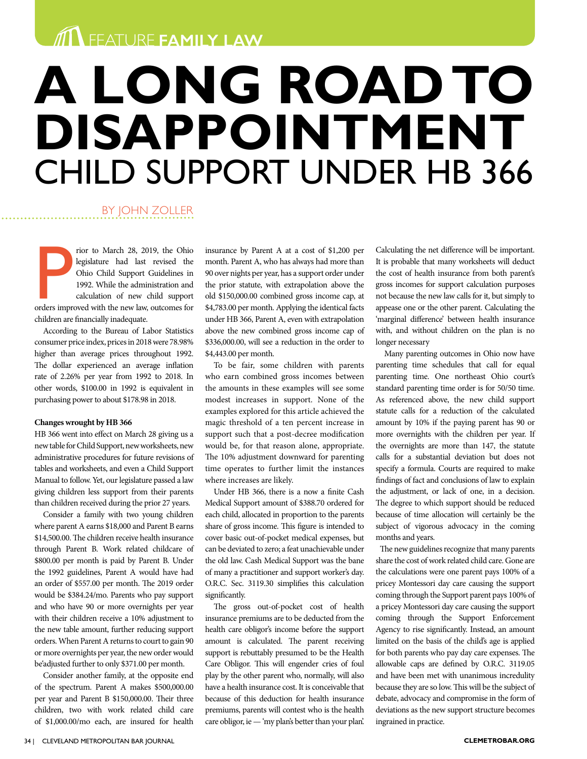**THE FAMILY LAW** 

# **A LONG ROAD TO DISAPPOINTMENT** CHILD SUPPORT UNDER HB 366

### BY JOHN ZOLLER

Figure 128, 2019, the Ohio legislature had last revised the Ohio Child Support Guidelines in 1992. While the administration and calculation of new child support orders improved with the new law, outcomes for rior to March 28, 2019, the Ohio legislature had last revised the Ohio Child Support Guidelines in 1992. While the administration and calculation of new child support children are financially inadequate.

According to the Bureau of Labor Statistics consumer price index, prices in 2018 were 78.98% higher than average prices throughout 1992. The dollar experienced an average inflation rate of 2.26% per year from 1992 to 2018. In other words, \$100.00 in 1992 is equivalent in purchasing power to about \$178.98 in 2018.

#### **Changes wrought by HB 366**

HB 366 went into effect on March 28 giving us a new table for Child Support, new worksheets, new administrative procedures for future revisions of tables and worksheets, and even a Child Support Manual to follow. Yet, our legislature passed a law giving children less support from their parents than children received during the prior 27 years.

Consider a family with two young children where parent A earns \$18,000 and Parent B earns \$14,500.00. The children receive health insurance through Parent B. Work related childcare of \$800.00 per month is paid by Parent B. Under the 1992 guidelines, Parent A would have had an order of \$557.00 per month. The 2019 order would be \$384.24/mo. Parents who pay support and who have 90 or more overnights per year with their children receive a 10% adjustment to the new table amount, further reducing support orders. When Parent A returns to court to gain 90 or more overnights per year, the new order would be'adjusted further to only \$371.00 per month.

Consider another family, at the opposite end of the spectrum. Parent A makes \$500,000.00 per year and Parent B \$150,000.00. Their three children, two with work related child care of \$1,000.00/mo each, are insured for health

insurance by Parent A at a cost of \$1,200 per month. Parent A, who has always had more than 90 over nights per year, has a support order under the prior statute, with extrapolation above the old \$150,000.00 combined gross income cap, at \$4,783.00 per month. Applying the identical facts under HB 366, Parent A, even with extrapolation above the new combined gross income cap of \$336,000.00, will see a reduction in the order to \$4,443.00 per month.

To be fair, some children with parents who earn combined gross incomes between the amounts in these examples will see some modest increases in support. None of the examples explored for this article achieved the magic threshold of a ten percent increase in support such that a post-decree modification would be, for that reason alone, appropriate. The 10% adjustment downward for parenting time operates to further limit the instances where increases are likely.

Under HB 366, there is a now a finite Cash Medical Support amount of \$388.70 ordered for each child, allocated in proportion to the parents share of gross income. This figure is intended to cover basic out-of-pocket medical expenses, but can be deviated to zero; a feat unachievable under the old law. Cash Medical Support was the bane of many a practitioner and support worker's day. O.R.C. Sec. 3119.30 simplifies this calculation significantly.

The gross out-of-pocket cost of health insurance premiums are to be deducted from the health care obligor's income before the support amount is calculated. The parent receiving support is rebuttably presumed to be the Health Care Obligor. This will engender cries of foul play by the other parent who, normally, will also have a health insurance cost. It is conceivable that because of this deduction for health insurance premiums, parents will contest who is the health care obligor, ie — 'my plan's better than your plan'. Calculating the net difference will be important. It is probable that many worksheets will deduct the cost of health insurance from both parent's gross incomes for support calculation purposes not because the new law calls for it, but simply to appease one or the other parent. Calculating the 'marginal difference' between health insurance with, and without children on the plan is no longer necessary

Many parenting outcomes in Ohio now have parenting time schedules that call for equal parenting time. One northeast Ohio court's standard parenting time order is for 50/50 time. As referenced above, the new child support statute calls for a reduction of the calculated amount by 10% if the paying parent has 90 or more overnights with the children per year. If the overnights are more than 147, the statute calls for a substantial deviation but does not specify a formula. Courts are required to make findings of fact and conclusions of law to explain the adjustment, or lack of one, in a decision. The degree to which support should be reduced because of time allocation will certainly be the subject of vigorous advocacy in the coming months and years.

The new guidelines recognize that many parents share the cost of work related child care. Gone are the calculations were one parent pays 100% of a pricey Montessori day care causing the support coming through the Support parent pays 100% of a pricey Montessori day care causing the support coming through the Support Enforcement Agency to rise significantly. Instead, an amount limited on the basis of the child's age is applied for both parents who pay day care expenses. The allowable caps are defined by O.R.C. 3119.05 and have been met with unanimous incredulity because they are so low. This will be the subject of debate, advocacy and compromise in the form of deviations as the new support structure becomes ingrained in practice.